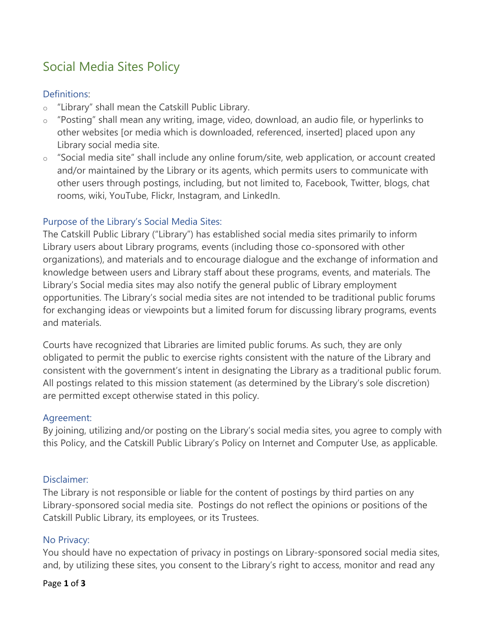# Social Media Sites Policy

# Definitions:

- o "Library" shall mean the Catskill Public Library.
- o "Posting" shall mean any writing, image, video, download, an audio file, or hyperlinks to other websites [or media which is downloaded, referenced, inserted] placed upon any Library social media site.
- o "Social media site" shall include any online forum/site, web application, or account created and/or maintained by the Library or its agents, which permits users to communicate with other users through postings, including, but not limited to, Facebook, Twitter, blogs, chat rooms, wiki, YouTube, Flickr, Instagram, and LinkedIn.

# Purpose of the Library's Social Media Sites:

The Catskill Public Library ("Library") has established social media sites primarily to inform Library users about Library programs, events (including those co-sponsored with other organizations), and materials and to encourage dialogue and the exchange of information and knowledge between users and Library staff about these programs, events, and materials. The Library's Social media sites may also notify the general public of Library employment opportunities. The Library's social media sites are not intended to be traditional public forums for exchanging ideas or viewpoints but a limited forum for discussing library programs, events and materials.

Courts have recognized that Libraries are limited public forums. As such, they are only obligated to permit the public to exercise rights consistent with the nature of the Library and consistent with the government's intent in designating the Library as a traditional public forum. All postings related to this mission statement (as determined by the Library's sole discretion) are permitted except otherwise stated in this policy.

#### Agreement:

By joining, utilizing and/or posting on the Library's social media sites, you agree to comply with this Policy, and the Catskill Public Library's Policy on Internet and Computer Use, as applicable.

# Disclaimer:

The Library is not responsible or liable for the content of postings by third parties on any Library-sponsored social media site. Postings do not reflect the opinions or positions of the Catskill Public Library, its employees, or its Trustees.

# No Privacy:

You should have no expectation of privacy in postings on Library-sponsored social media sites, and, by utilizing these sites, you consent to the Library's right to access, monitor and read any

#### Page **1** of **3**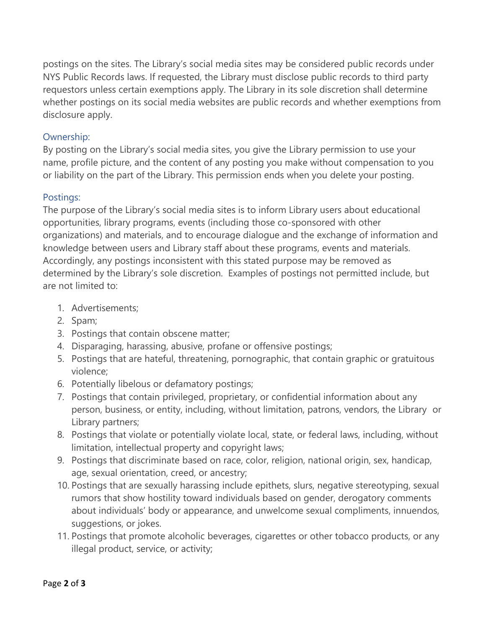postings on the sites. The Library's social media sites may be considered public records under NYS Public Records laws. If requested, the Library must disclose public records to third party requestors unless certain exemptions apply. The Library in its sole discretion shall determine whether postings on its social media websites are public records and whether exemptions from disclosure apply.

## Ownership:

By posting on the Library's social media sites, you give the Library permission to use your name, profile picture, and the content of any posting you make without compensation to you or liability on the part of the Library. This permission ends when you delete your posting.

## Postings:

The purpose of the Library's social media sites is to inform Library users about educational opportunities, library programs, events (including those co-sponsored with other organizations) and materials, and to encourage dialogue and the exchange of information and knowledge between users and Library staff about these programs, events and materials. Accordingly, any postings inconsistent with this stated purpose may be removed as determined by the Library's sole discretion. Examples of postings not permitted include, but are not limited to:

- 1. Advertisements;
- 2. Spam;
- 3. Postings that contain obscene matter;
- 4. Disparaging, harassing, abusive, profane or offensive postings;
- 5. Postings that are hateful, threatening, pornographic, that contain graphic or gratuitous violence;
- 6. Potentially libelous or defamatory postings;
- 7. Postings that contain privileged, proprietary, or confidential information about any person, business, or entity, including, without limitation, patrons, vendors, the Library or Library partners;
- 8. Postings that violate or potentially violate local, state, or federal laws, including, without limitation, intellectual property and copyright laws;
- 9. Postings that discriminate based on race, color, religion, national origin, sex, handicap, age, sexual orientation, creed, or ancestry;
- 10. Postings that are sexually harassing include epithets, slurs, negative stereotyping, sexual rumors that show hostility toward individuals based on gender, derogatory comments about individuals' body or appearance, and unwelcome sexual compliments, innuendos, suggestions, or jokes.
- 11. Postings that promote alcoholic beverages, cigarettes or other tobacco products, or any illegal product, service, or activity;